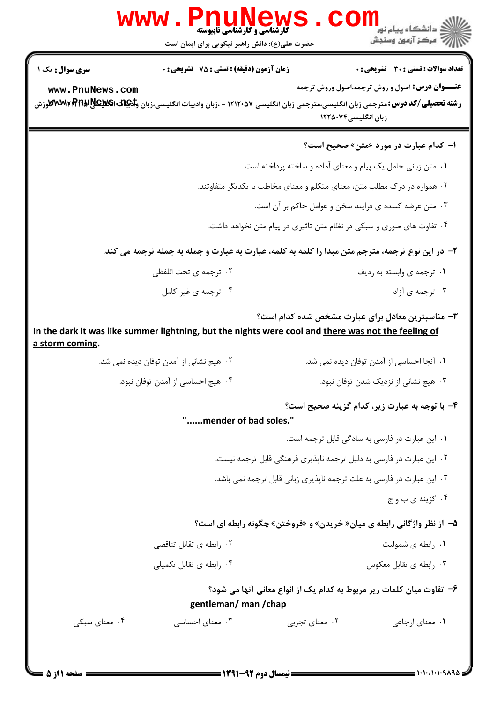|                                                                                                                                                                   | حضرت علی(ع): دانش راهبر نیکویی برای ایمان است                                                    | ڪ دانشڪاه پيام نور<br><mark>∕</mark> > مرڪز آزمون وسنڊش |  |
|-------------------------------------------------------------------------------------------------------------------------------------------------------------------|--------------------------------------------------------------------------------------------------|---------------------------------------------------------|--|
| <b>زمان آزمون (دقیقه) : تستی : 75 تشریحی : 0</b><br><b>سری سوال :</b> یک ۱                                                                                        | تعداد سوالات : تستى : 30 - تشريحي : 0                                                            |                                                         |  |
| www.PnuNews.com<br><b>رشته تحصیلی/کد درس:</b> مترجمی زبان انگلیسی،مترجمی زبان انگلیسی ۱۲۱۲۰۵۷ - ،زبان وادبیات انگلیسی،زبان و <b>لکیلیالی NTwwi ، RTR ایس</b><br>د | <b>عنـــوان درس:</b> اصول و روش ترجمه،اصول وروش ترجمه<br>زبان انگلیسی۲۵۰۷۴                       |                                                         |  |
|                                                                                                                                                                   | <b>ا- کدام عبارت در مورد «متن» صحیح است؟</b>                                                     |                                                         |  |
|                                                                                                                                                                   | ۰۱ متن زبانی حامل یک پیام و معنای آماده و ساخته پرداخته است.                                     |                                                         |  |
|                                                                                                                                                                   | ۲. همواره در درک مطلب متن، معنای متکلم و معنای مخاطب با یکدیگر متفاوتند.                         |                                                         |  |
| ۰۳ متن عرضه کننده ی فرایند سخن و عوامل حاکم بر آن است.                                                                                                            |                                                                                                  |                                                         |  |
|                                                                                                                                                                   | ۰۴ تفاوت های صوری و سبکی در نظام متن تاثیری در پیام متن نخواهد داشت.                             |                                                         |  |
|                                                                                                                                                                   | ۲- در این نوع ترجمه، مترجم متن مبدا را کلمه به کلمه، عبارت به عبارت و جمله به جمله ترجمه می کند. |                                                         |  |
| ۰۲ ترجمه ی تحت اللفظی                                                                                                                                             | ۰۱ ترجمه ی وابسته به ردیف                                                                        |                                                         |  |
| ۰۴ ترجمه ی غیر کامل                                                                                                                                               | ۰۳ ترجمه ی آزاد                                                                                  |                                                         |  |
| In the dark it was like summer lightning, but the nights were cool and <u>there was not the feeling of</u><br><u>a storm coming.</u>                              | ۳- مناسبترین معادل برای عبارت مشخص شده کدام است؟                                                 |                                                         |  |
| ۰۲ هیچ نشانی از آمدن توفان دیده نمی شد.                                                                                                                           | ۰۱ آنجا احساسی از آمدن توفان دیده نمی شد.                                                        |                                                         |  |
| ۰۴ هیچ احساسی از آمدن توفان نبود.                                                                                                                                 | ۰۳ هیچ نشانی از نزدیک شدن توفان نبود.                                                            |                                                         |  |
| "mender of bad soles."                                                                                                                                            | ۴- با توجه به عبارت زیر، کدام گزینه صحیح است؟                                                    |                                                         |  |
|                                                                                                                                                                   |                                                                                                  |                                                         |  |
|                                                                                                                                                                   | ۰۱ این عبارت در فارسی به سادگی قابل ترجمه است.                                                   |                                                         |  |
|                                                                                                                                                                   | ۲ ۰ این عبارت در فارسی به دلیل ترجمه ناپذیری فرهنگی قابل ترجمه نیست.                             |                                                         |  |
|                                                                                                                                                                   | ۰۳ این عبارت در فارسی به علت ترجمه ناپذیری زبانی قابل ترجمه نمی باشد.                            |                                                         |  |
|                                                                                                                                                                   | ۰۴ گزينه ي ب و ج                                                                                 |                                                         |  |
|                                                                                                                                                                   | ۵− از نظر واژگانی رابطه ی میان« خریدن» و «فروختن» چگونه رابطه ای است؟                            |                                                         |  |
| ۰۲ رابطه ی تقابل تناقضی                                                                                                                                           | ۰۱ رابطه ی شمولیت                                                                                |                                                         |  |
| ۰۴ رابطه ی تقابل تکمیلی                                                                                                                                           | ۰۳ رابطه ی تقابل معکوس                                                                           |                                                         |  |
| gentleman/ man/chap                                                                                                                                               | ۶–  تفاوت میان کلمات زیر مربوط به کدام یک از انواع معانی آنها می شود؟                            |                                                         |  |

 $= 1.1.11.1.9140$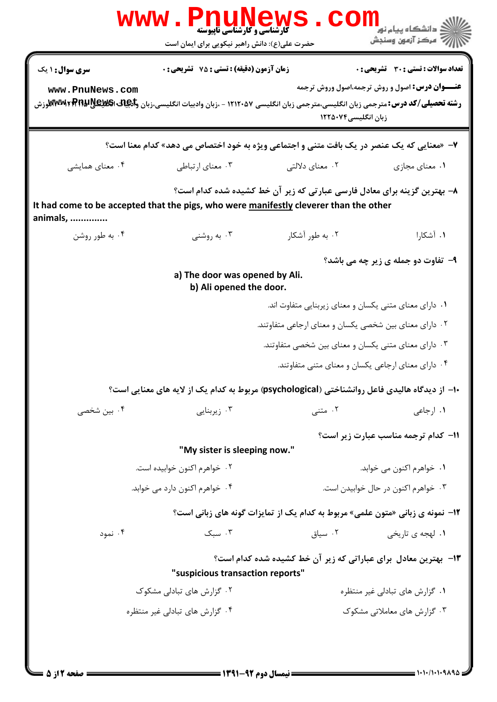|                                                                                                                                                                                                                              | <b>www.PnuNews</b><br><b>گارشناسی و کارشناسی ناپیوسته</b>                                     |                                                                               | ز دانشگاه پيام نو <mark>ر</mark>                      |  |  |  |
|------------------------------------------------------------------------------------------------------------------------------------------------------------------------------------------------------------------------------|-----------------------------------------------------------------------------------------------|-------------------------------------------------------------------------------|-------------------------------------------------------|--|--|--|
|                                                                                                                                                                                                                              | حضرت علی(ع): دانش راهبر نیکویی برای ایمان است                                                 |                                                                               | ر آمرڪز آزمون وسنڊش                                   |  |  |  |
| <b>سری سوال :</b> ۱ یک                                                                                                                                                                                                       | <b>زمان آزمون (دقیقه) : تستی : 75 تشریحی : 0</b>                                              |                                                                               | <b>تعداد سوالات : تستی : 30 ٪ تشریحی : 0</b>          |  |  |  |
| www.PnuNews.com<br><b>رشته تحصیلی/کد درس: متر</b> جمی زبان انگلیسی،مترجمی زبان انگلیسی ۱۲۱۲۰۵۷ - ،زبان وادبیات انگلیسی،زبان و <b>انچیانی انگلینیاتی انگلینی ان به انگلین</b> ی استان انگلین او استان استان استان استان استان |                                                                                               | زبان انگلیسی۲۵۰۷۴                                                             | <b>عنـــوان درس:</b> اصول و روش ترجمه،اصول وروش ترجمه |  |  |  |
| ۷- «معنایی که یک عنصر در یک بافت متنی و اجتماعی ویژه به خود اختصاص می دهد» کدام معنا است؟                                                                                                                                    |                                                                                               |                                                                               |                                                       |  |  |  |
| ۰۴ معنای همایشی                                                                                                                                                                                                              | ۰۳ معنای ارتباطی                                                                              | ۰۲ معنای دلالتی                                                               | ۰۱ معنای مجازی                                        |  |  |  |
| ۸– بهترین گزینه برای معادل فارسی عبارتی که زیر آن خط کشیده شده کدام است؟<br>It had come to be accepted that the pigs, who were manifestly cleverer than the other<br>animals,                                                |                                                                                               |                                                                               |                                                       |  |  |  |
| ۰۴ به طور روشن                                                                                                                                                                                                               | ۰۳ به روشنی                                                                                   | ۰۲ به طور آشکار                                                               | ۰۱ آشکارا                                             |  |  |  |
|                                                                                                                                                                                                                              |                                                                                               |                                                                               | ۹- تفاوت دو جمله ی زیر چه می باشد؟                    |  |  |  |
|                                                                                                                                                                                                                              | a) The door was opened by Ali.<br>b) Ali opened the door.                                     |                                                                               |                                                       |  |  |  |
|                                                                                                                                                                                                                              |                                                                                               | ۰۱ دارای معنای متنی یکسان و معنای زیربنایی متفاوت اند.                        |                                                       |  |  |  |
|                                                                                                                                                                                                                              |                                                                                               | ۰۲ دارای معنای بین شخصی یکسان و معنای ارجاعی متفاوتند.                        |                                                       |  |  |  |
|                                                                                                                                                                                                                              |                                                                                               | ۰۳ دارای معنای متنی یکسان و معنای بین شخصی متفاوتند.                          |                                                       |  |  |  |
|                                                                                                                                                                                                                              |                                                                                               | ۰۴ دارای معنای ارجاعی یکسان و معنای متنی متفاوتند.                            |                                                       |  |  |  |
|                                                                                                                                                                                                                              | ∙ا– از دیدگاه هالیدی فاعل روانشناختی (psychological) مربوط به کدام یک از لایه های معنایی است؟ |                                                                               |                                                       |  |  |  |
| ۰۴ بین شخصی                                                                                                                                                                                                                  | ۰۳ زیربنایی                                                                                   | ۰۲ متنی                                                                       | ۰۱ ارجاعی                                             |  |  |  |
|                                                                                                                                                                                                                              |                                                                                               |                                                                               | 11- كدام ترجمه مناسب عبارت زير است؟                   |  |  |  |
|                                                                                                                                                                                                                              | "My sister is sleeping now."<br>۰۲ خواهرم اکنون خوابیده است.                                  |                                                                               | ۰۱ خواهرم اکنون می خوابد.                             |  |  |  |
|                                                                                                                                                                                                                              | ۰۴ خواهرم اکنون دارد می خوابد.                                                                | ۰۳ خواهرم اکنون در حال خوابیدن است.                                           |                                                       |  |  |  |
|                                                                                                                                                                                                                              |                                                                                               | 1۲- نمونه ی زبانی «متون علمی» مربوط به کدام یک از تمایزات گونه های زبانی است؟ |                                                       |  |  |  |
| ۰۴ نمود                                                                                                                                                                                                                      | $\mathcal{F}$ . سبک                                                                           | ۰۲ سیاق                                                                       | ۰۱ لهجه ی تاریخی                                      |  |  |  |
|                                                                                                                                                                                                                              | "suspicious transaction reports"                                                              | ۱۳- بهترین معادل برای عباراتی که زیر آن خط کشیده شده کدام است؟                |                                                       |  |  |  |
|                                                                                                                                                                                                                              | ۰۲ گزارش های تبادلی مشکوک                                                                     |                                                                               | ٠١ گزارش های تبادلی غیر منتظره                        |  |  |  |
|                                                                                                                                                                                                                              | ۰۴ گزارش های تبادلی غیر منتظره                                                                |                                                                               | ۰۳ گزارش های معاملاتی مشکوک                           |  |  |  |
|                                                                                                                                                                                                                              |                                                                                               |                                                                               |                                                       |  |  |  |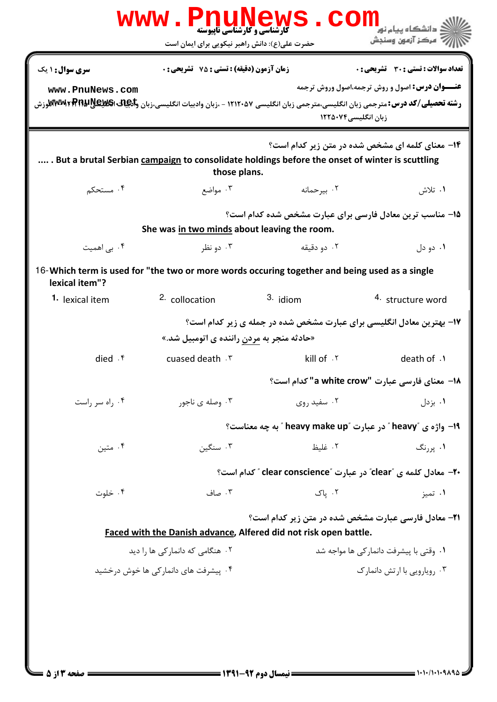|                                                                                                                                                                    | <b>www.PnuNews</b><br><b>گارشناسی و کارشناسی ناپیوسته</b><br>حضرت علی(ع): دانش راهبر نیکویی برای ایمان است | <b>CO</b>                                                                                                                                                         | دانشگاه پیام نور<br>بَ ۖ مرڪز آزمون وسنڊش                                                             |  |  |  |  |
|--------------------------------------------------------------------------------------------------------------------------------------------------------------------|------------------------------------------------------------------------------------------------------------|-------------------------------------------------------------------------------------------------------------------------------------------------------------------|-------------------------------------------------------------------------------------------------------|--|--|--|--|
| <b>سری سوال : ۱ یک</b>                                                                                                                                             | <b>زمان آزمون (دقیقه) : تستی : 75 ٪ تشریحی : 0</b>                                                         |                                                                                                                                                                   | <b>تعداد سوالات : تستی : 30 ٪ تشریحی : 0</b><br><b>عنـــوان درس:</b> اصول و روش ترجمه،اصول وروش ترجمه |  |  |  |  |
| www.PnuNews.com                                                                                                                                                    |                                                                                                            | <b>رشته تحصیلی/کد درس:</b> مترجمی زبان انگلیسی،مترجمی زبان انگلیسی ۱۲۱۲۰۵۷ - ،زبان وادبیات انگلیسی،زبان و <b>لکیل20 ATMAKRRR و MTMAK</b> وزش<br>زبان انگلیسی۲۵۰۷۴ |                                                                                                       |  |  |  |  |
| ۰۱۴ معنای کلمه ای مشخص شده در متن زیر کدام است؟<br>. But a brutal Serbian campaign to consolidate holdings before the onset of winter is scuttling<br>those plans. |                                                                                                            |                                                                                                                                                                   |                                                                                                       |  |  |  |  |
| ۰۴ مستحکم                                                                                                                                                          | ۰۳ مواضع                                                                                                   | ۰۲ بیرحمانه                                                                                                                                                       | ۱. تلاش                                                                                               |  |  |  |  |
|                                                                                                                                                                    | 1۵- مناسب ترین معادل فارسی برای عبارت مشخص شده کدام است؟<br>She was in two minds about leaving the room.   |                                                                                                                                                                   |                                                                                                       |  |  |  |  |
| ۰۴ بی اهمیت                                                                                                                                                        | ۰۳ دو نظر                                                                                                  | ۰۲ دو دقیقه                                                                                                                                                       | ۰۱ دو دل                                                                                              |  |  |  |  |
| lexical item"?                                                                                                                                                     |                                                                                                            | 16-Which term is used for "the two or more words occuring together and being used as a single                                                                     |                                                                                                       |  |  |  |  |
| 1. lexical item                                                                                                                                                    | 2. collocation                                                                                             | 3. idiom                                                                                                                                                          | 4. structure word                                                                                     |  |  |  |  |
| ۱۷- بهترین معادل انگلیسی برای عبارت مشخص شده در جمله ی زیر کدام است؟<br>«حادثه منجر به <u>مردن</u> راننده ی اتومبیل شد.»                                           |                                                                                                            |                                                                                                                                                                   |                                                                                                       |  |  |  |  |
| died $\cdot$ $\mathfrak{f}$                                                                                                                                        | cuased death . ٣                                                                                           | kill of . ٢                                                                                                                                                       | death of .1                                                                                           |  |  |  |  |
|                                                                                                                                                                    |                                                                                                            |                                                                                                                                                                   | 18- معناي فارسي عبارت "a white crow" كدام است؟                                                        |  |  |  |  |
| ۰۴ راه سر راست                                                                                                                                                     | ۰۳ وصله ی ناجور                                                                                            | ۰۲ سفید روی                                                                                                                                                       | ۰۱ بزدل                                                                                               |  |  |  |  |
|                                                                                                                                                                    | 19- واژه ی "heavy " در عبارت "heavy make up " به چه معناست؟                                                |                                                                                                                                                                   |                                                                                                       |  |  |  |  |
| ۰۴ متين                                                                                                                                                            | ۰۳ سنگین                                                                                                   | ۰۲ غلىظ                                                                                                                                                           | ۰۱ پررنگ                                                                                              |  |  |  |  |
|                                                                                                                                                                    |                                                                                                            | ۲۰– معادل کلمه ی "clear" در عبارت "clear conscience" کدام است؟                                                                                                    |                                                                                                       |  |  |  |  |
| ۰۴ خلوت                                                                                                                                                            | ۰۳ صاف                                                                                                     | ۰۲ پاک                                                                                                                                                            | ۰۱ تميز                                                                                               |  |  |  |  |
|                                                                                                                                                                    |                                                                                                            | <b>٢١- معادل فارسي عبارت مشخص شده در متن زير كدام است؟</b><br>Faced with the Danish advance, Alfered did not risk open battle.                                    |                                                                                                       |  |  |  |  |
|                                                                                                                                                                    | ٠١. وقتي با پيشرفت دانماركي ها مواجه شد<br>۰۲ هنگامی که دانمارکی ها را دید                                 |                                                                                                                                                                   |                                                                                                       |  |  |  |  |
|                                                                                                                                                                    | ۰۴ پیشرفت های دانمار کی ها خوش درخشید                                                                      |                                                                                                                                                                   | ۰۳ روپارویی با ارتش دانمارک                                                                           |  |  |  |  |
|                                                                                                                                                                    |                                                                                                            |                                                                                                                                                                   |                                                                                                       |  |  |  |  |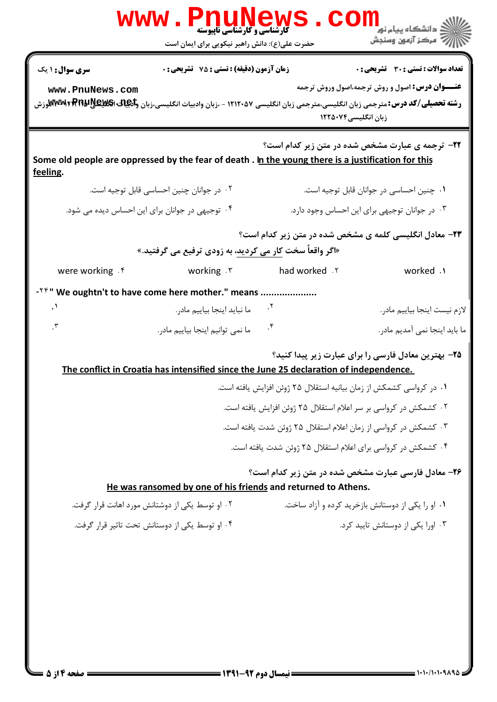|                                    | <b>www.Pnur</b><br>کارشناسی و کارشناسی ناپیوسته<br>حضرت علی(ع): دانش راهبر نیکویی برای ایمان است                                                                                                                                                                                                                                                                                                  |                                                                                                                                                                                                                                                                                                    | <mark>د</mark> دانشگاه پيام نور<br>رِ ۖ مرڪز آزمون وسنڊش                                                                                                                                                                                                                     |
|------------------------------------|---------------------------------------------------------------------------------------------------------------------------------------------------------------------------------------------------------------------------------------------------------------------------------------------------------------------------------------------------------------------------------------------------|----------------------------------------------------------------------------------------------------------------------------------------------------------------------------------------------------------------------------------------------------------------------------------------------------|------------------------------------------------------------------------------------------------------------------------------------------------------------------------------------------------------------------------------------------------------------------------------|
| سری سوال : ۱ یک<br>www.PnuNews.com | <b>زمان آزمون (دقیقه) : تستی : 75 ٪ تشریحی : 0</b><br><b>رشته تحصیلی/کد درس:</b> مترجمی زبان انگلیسی،مترجمی زبان انگلیسی ۱۲۱۲۰۵۷ - ،زبان وادبیات انگلیسی،زبان و <b>انچات اکتلاِطایا Mww الآو</b> زش                                                                                                                                                                                               | زبان انگلیسی۲۵۰۷۴                                                                                                                                                                                                                                                                                  | تعداد سوالات : تستى : 30 ٪ تشريحي : 0<br><b>عنـــوان درس:</b> اصول و روش ترجمه،اصول وروش ترجمه                                                                                                                                                                               |
| feeling.                           | Some old people are oppressed by the fear of death . In the young there is a justification for this                                                                                                                                                                                                                                                                                               |                                                                                                                                                                                                                                                                                                    | <b>32- ترجمه ی عبارت مشخص شده در متن زیر کدام است</b> ؟                                                                                                                                                                                                                      |
|                                    | ٠٢ در جوانان چنين احساسي قابل توجيه است.                                                                                                                                                                                                                                                                                                                                                          |                                                                                                                                                                                                                                                                                                    | ٠١ چنين احساسي در جوانان قابل توجيه است.                                                                                                                                                                                                                                     |
|                                    | ۰۴ توجیهی در جوانان برای این احساس دیده می شود.                                                                                                                                                                                                                                                                                                                                                   |                                                                                                                                                                                                                                                                                                    | ۰۳ در جوانان توجیهی برای این احساس وجود دارد.                                                                                                                                                                                                                                |
|                                    | «اگر واقعاً سخت کار می کردید، به زودی ترفیع می گرفتید.»                                                                                                                                                                                                                                                                                                                                           |                                                                                                                                                                                                                                                                                                    | <b>۲۳</b> - معادل انگلیسی کلمه ی مشخص شده در متن زیر کدام است؟                                                                                                                                                                                                               |
| were working . f                   | working .۳                                                                                                                                                                                                                                                                                                                                                                                        | had worked . Y                                                                                                                                                                                                                                                                                     | worked .1                                                                                                                                                                                                                                                                    |
| $\cdot$<br>$\cdot$                 | - <sup>TF</sup> " We oughtn't to have come here mother." means<br>ما نبايد اينجا بياييم مادر.<br>ما نمي توانيم اينجا بياييم مادر.<br>The conflict in Croatia has intensified since the June 25 declaration of independence.<br>He was ransomed by one of his friends and returned to Athens.<br>۰۲ او توسط یکی از دوشتانش مورد اهانت قرار گرفت.<br>۰۴ او توسط یکی از دوستانش تحت تاثیر قرار گرفت. | $\cdot$<br>$\cdot^*$<br>٠١ در كرواسي كشمكش از زمان بيانيه استقلال ٢۵ ژوئن افزايش يافته است.<br>۰۲ کشمکش در کرواسی بر سر اعلام استقلال ۲۵ ژوئن افزایش یافته است.<br>۰۳ کشمکش در کرواسی از زمان اعلام استقلال ۲۵ ژوئن شدت یافته است.<br>۰۴ کشمکش در کرواسی برای اعلام استقلال ۲۵ ژوئن شدت یافته است. | لازم نيست اينجا بياييم مادر.<br>ما باید اینجا نمی آمدیم مادر.<br>۲۵– بهترین معادل فارسی را برای عبارت زیر پیدا کنید؟<br><b>۲۶- معادل فارسی عبارت مشخص شده در متن زیر کدام است؟</b><br>۰۱ او را یکی از دوستانش بازخرید کرده و آزاد ساخت.<br>۰۳ اورا یکی از دوستانش تایید کرد. |
|                                    |                                                                                                                                                                                                                                                                                                                                                                                                   |                                                                                                                                                                                                                                                                                                    |                                                                                                                                                                                                                                                                              |